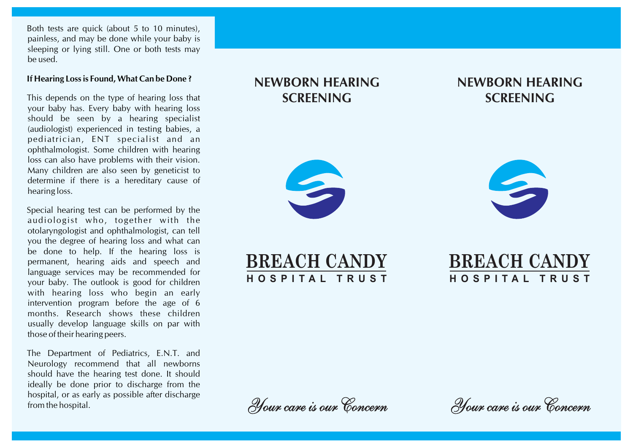Both tests are quick (about 5 to 10 minutes), painless, and may be done while your baby is sleeping or lying still. One or both tests may be used.

#### **If Hearing Loss is Found, What Can be Done ?**

This depends on the type of hearing loss that your baby has. Every baby with hearing loss should be seen by a hearing specialist (audiologist) experienced in testing babies, a pediatrician, ENT specialist and an ophthalmologist. Some children with hearing loss can also have problems with their vision. Many children are also seen by geneticist to determine if there is a hereditary cause of hearing loss.

Special hearing test can be performed by the audiologist who, together with the otolaryngologist and ophthalmologist, can tell you the degree of hearing loss and what can be done to help. If the hearing loss is permanent, hearing aids and speech and language services may be recommended for your baby. The outlook is good for children with hearing loss who begin an early intervention program before the age of 6 months. Research shows these children usually develop language skills on par with those of their hearing peers.

The Department of Pediatrics, E.N.T. and Neurology recommend that all newborns should have the hearing test done. It should ideally be done prior to discharge from the hospital, or as early as possible after discharge from the hospital.

# **NEWBORN HEARING SCREENING**

## **NEWBORN HEARING SCREENING**





**BREACH CANDY H O S P I T A L T R U S T**



Your care is our Concern

Your care is our Concern